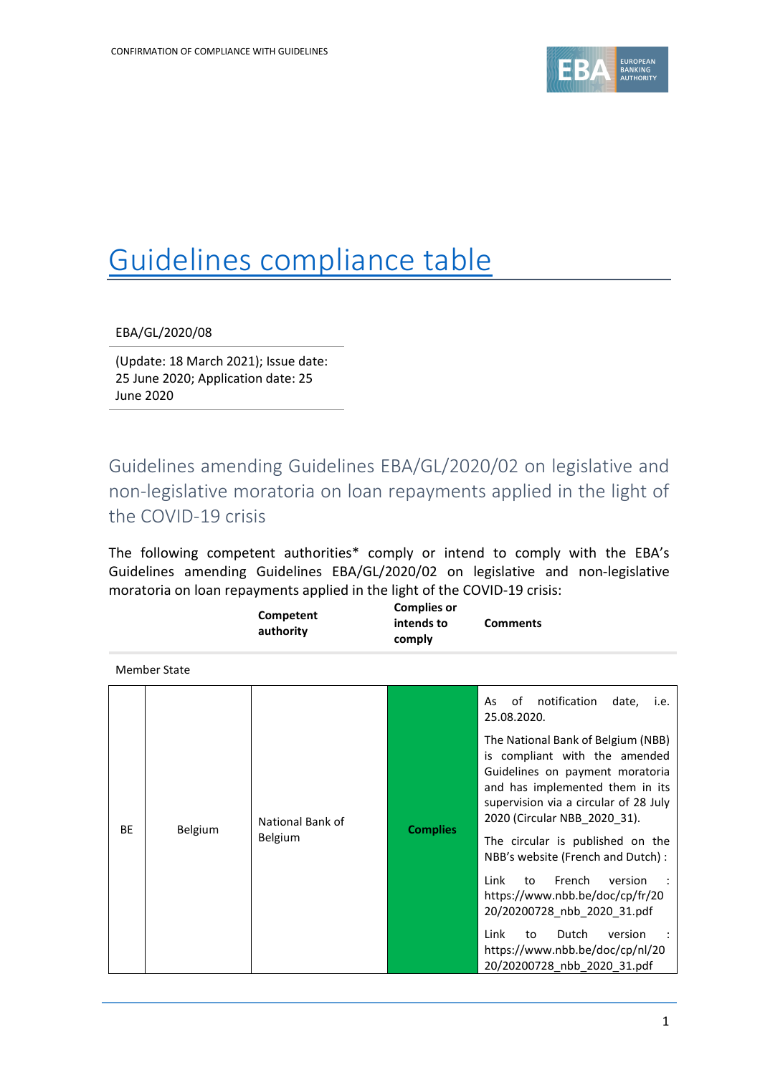

## Guidelines compliance table

EBA/GL/2020/08

(Update: 18 March 2021); Issue date: 25 June 2020; Application date: 25 June 2020

Guidelines amending Guidelines EBA/GL/2020/02 on legislative and non-legislative moratoria on loan repayments applied in the light of the COVID-19 crisis

The following competent authorities\* comply or intend to comply with the EBA's Guidelines amending Guidelines EBA/GL/2020/02 on legislative and non-legislative moratoria on loan repayments applied in the light of the COVID-19 crisis:

|           |                     | Competent<br>authority                | <b>Complies or</b><br>intends to<br>comply                            | <b>Comments</b>                                                                                                                                                                                                    |
|-----------|---------------------|---------------------------------------|-----------------------------------------------------------------------|--------------------------------------------------------------------------------------------------------------------------------------------------------------------------------------------------------------------|
|           | <b>Member State</b> |                                       |                                                                       |                                                                                                                                                                                                                    |
|           |                     |                                       |                                                                       | notification<br>οf<br>date,<br>As<br>i.e.<br>25.08.2020.                                                                                                                                                           |
| <b>BF</b> |                     | National Bank of                      |                                                                       | The National Bank of Belgium (NBB)<br>is compliant with the amended<br>Guidelines on payment moratoria<br>and has implemented them in its<br>supervision via a circular of 28 July<br>2020 (Circular NBB 2020 31). |
|           |                     | <b>Complies</b><br>Belgium<br>Belgium | The circular is published on the<br>NBB's website (French and Dutch): |                                                                                                                                                                                                                    |
|           |                     |                                       |                                                                       | Link<br>French<br>to<br>version<br>https://www.nbb.be/doc/cp/fr/20<br>20/20200728_nbb_2020_31.pdf                                                                                                                  |
|           |                     |                                       |                                                                       | Link<br>Dutch<br>to<br>version<br>https://www.nbb.be/doc/cp/nl/20<br>20/20200728 nbb 2020 31.pdf                                                                                                                   |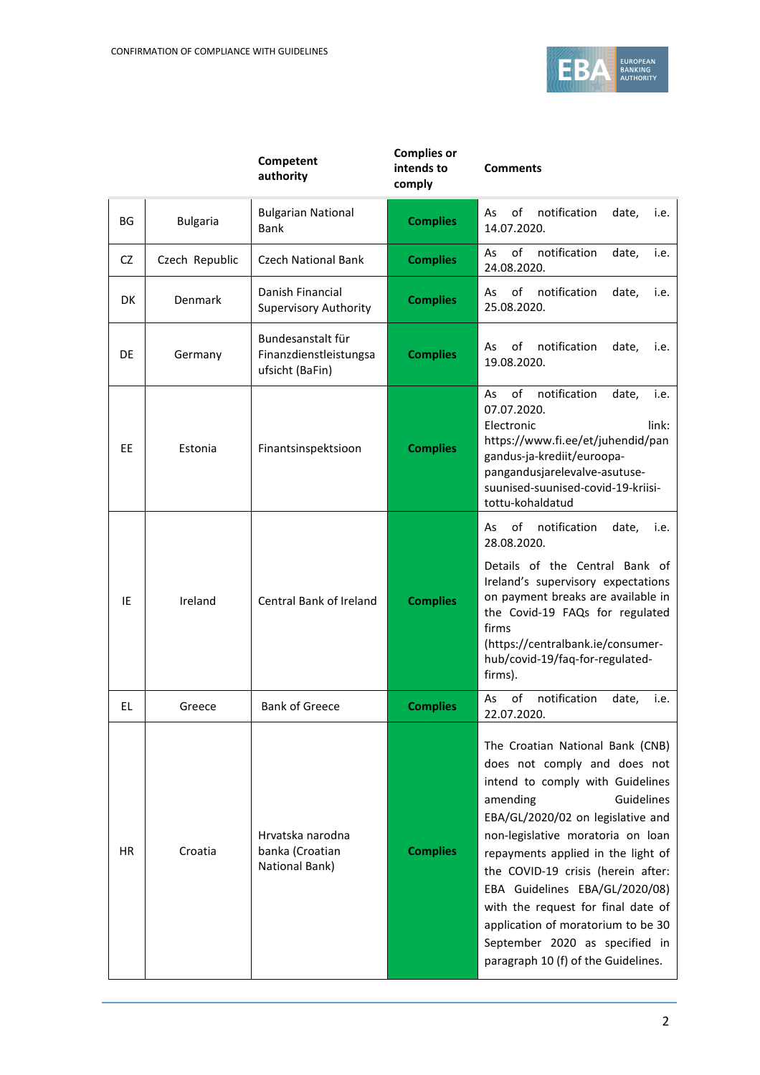

|           |                 | Competent<br>authority                                         | <b>Complies or</b><br>intends to<br>comply | <b>Comments</b>                                                                                                                                                                                                                                                                                                                                                                                                                                                             |  |  |
|-----------|-----------------|----------------------------------------------------------------|--------------------------------------------|-----------------------------------------------------------------------------------------------------------------------------------------------------------------------------------------------------------------------------------------------------------------------------------------------------------------------------------------------------------------------------------------------------------------------------------------------------------------------------|--|--|
| ΒG        | <b>Bulgaria</b> | <b>Bulgarian National</b><br><b>Bank</b>                       | <b>Complies</b>                            | οf<br>notification<br>date,<br>As<br>i.e.<br>14.07.2020.                                                                                                                                                                                                                                                                                                                                                                                                                    |  |  |
| CZ.       | Czech Republic  | Czech National Bank                                            | <b>Complies</b>                            | of<br>notification<br>As<br>date,<br>i.e.<br>24.08.2020.                                                                                                                                                                                                                                                                                                                                                                                                                    |  |  |
| DK        | Denmark         | Danish Financial<br><b>Supervisory Authority</b>               | <b>Complies</b>                            | notification<br>As<br>οf<br>date,<br>i.e.<br>25.08.2020.                                                                                                                                                                                                                                                                                                                                                                                                                    |  |  |
| DE        | Germany         | Bundesanstalt für<br>Finanzdienstleistungsa<br>ufsicht (BaFin) | <b>Complies</b>                            | notification<br>As<br>οf<br>date,<br>i.e.<br>19.08.2020.                                                                                                                                                                                                                                                                                                                                                                                                                    |  |  |
| <b>EE</b> | Estonia         | Finantsinspektsioon                                            | <b>Complies</b>                            | notification<br>of<br>As<br>date,<br>i.e.<br>07.07.2020.<br>Electronic<br>link:<br>https://www.fi.ee/et/juhendid/pan<br>gandus-ja-krediit/euroopa-<br>pangandusjarelevalve-asutuse-<br>suunised-suunised-covid-19-kriisi-<br>tottu-kohaldatud                                                                                                                                                                                                                               |  |  |
| IE        | Ireland         | Central Bank of Ireland                                        | <b>Complies</b>                            | οf<br>notification<br>date,<br>As<br>i.e.<br>28.08.2020.<br>Details of the Central Bank of<br>Ireland's supervisory expectations<br>on payment breaks are available in<br>the Covid-19 FAQs for regulated<br>firms<br>(https://centralbank.ie/consumer-<br>hub/covid-19/faq-for-regulated-<br>firms).                                                                                                                                                                       |  |  |
| EL        | Greece          | <b>Bank of Greece</b>                                          | <b>Complies</b>                            | notification<br>of<br>As<br>date,<br>i.e.<br>22.07.2020.                                                                                                                                                                                                                                                                                                                                                                                                                    |  |  |
| HR.       | Croatia         | Hrvatska narodna<br>banka (Croatian<br>National Bank)          | <b>Complies</b>                            | The Croatian National Bank (CNB)<br>does not comply and does not<br>intend to comply with Guidelines<br>Guidelines<br>amending<br>EBA/GL/2020/02 on legislative and<br>non-legislative moratoria on loan<br>repayments applied in the light of<br>the COVID-19 crisis (herein after:<br>EBA Guidelines EBA/GL/2020/08)<br>with the request for final date of<br>application of moratorium to be 30<br>September 2020 as specified in<br>paragraph 10 (f) of the Guidelines. |  |  |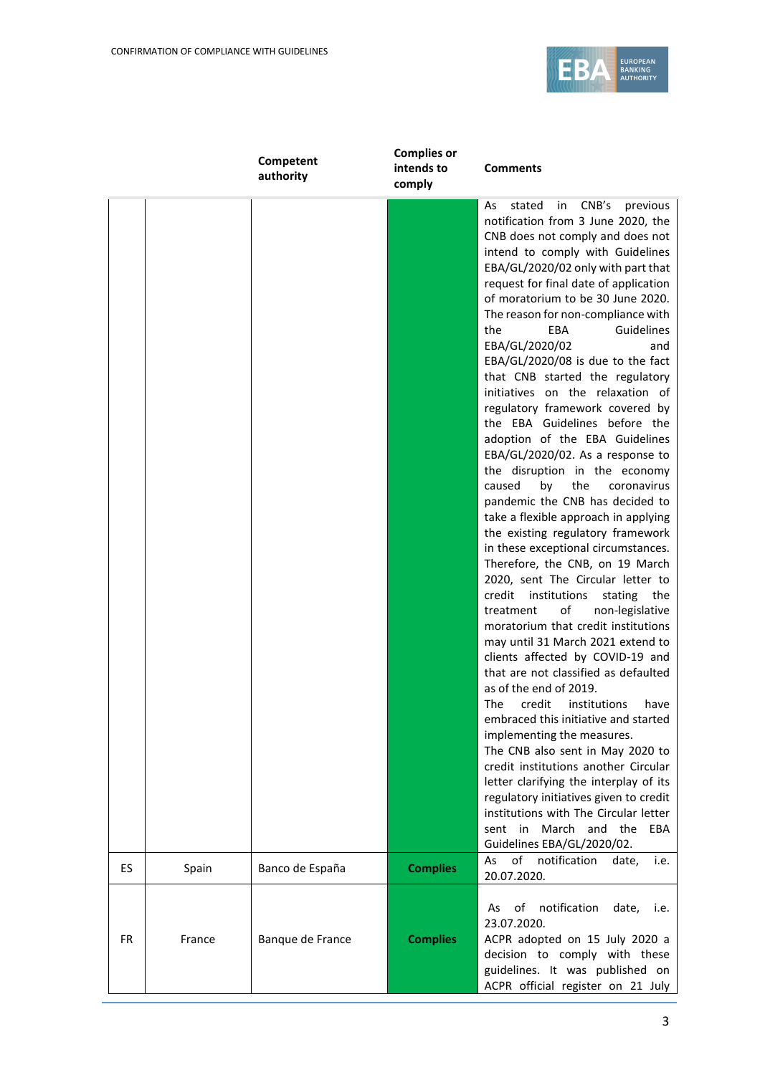

|               | <b>Complies or</b><br>Competent<br>intends to<br><b>Comments</b><br>authority<br>comply |                 |                                                                                                                                                                                                                                                                                                                                                                                                                                                                                                                                                                                                                                                                                                                                                                                                                                                                                                                                                                                                                                                                                                                                                                                                                                                                                                                                                                                                                                                                                                                                                                                                                                                                                                   |  |
|---------------|-----------------------------------------------------------------------------------------|-----------------|---------------------------------------------------------------------------------------------------------------------------------------------------------------------------------------------------------------------------------------------------------------------------------------------------------------------------------------------------------------------------------------------------------------------------------------------------------------------------------------------------------------------------------------------------------------------------------------------------------------------------------------------------------------------------------------------------------------------------------------------------------------------------------------------------------------------------------------------------------------------------------------------------------------------------------------------------------------------------------------------------------------------------------------------------------------------------------------------------------------------------------------------------------------------------------------------------------------------------------------------------------------------------------------------------------------------------------------------------------------------------------------------------------------------------------------------------------------------------------------------------------------------------------------------------------------------------------------------------------------------------------------------------------------------------------------------------|--|
|               |                                                                                         |                 | stated<br>CNB's<br>As<br>in<br>previous<br>notification from 3 June 2020, the<br>CNB does not comply and does not<br>intend to comply with Guidelines<br>EBA/GL/2020/02 only with part that<br>request for final date of application<br>of moratorium to be 30 June 2020.<br>The reason for non-compliance with<br>EBA<br>Guidelines<br>the<br>EBA/GL/2020/02<br>and<br>$EBA/GL/2020/08$ is due to the fact<br>that CNB started the regulatory<br>initiatives on the relaxation of<br>regulatory framework covered by<br>the EBA Guidelines before the<br>adoption of the EBA Guidelines<br>EBA/GL/2020/02. As a response to<br>the disruption in the economy<br>by<br>the<br>caused<br>coronavirus<br>pandemic the CNB has decided to<br>take a flexible approach in applying<br>the existing regulatory framework<br>in these exceptional circumstances.<br>Therefore, the CNB, on 19 March<br>2020, sent The Circular letter to<br>credit<br>institutions<br>stating<br>the<br>treatment<br>of<br>non-legislative<br>moratorium that credit institutions<br>may until 31 March 2021 extend to<br>clients affected by COVID-19 and<br>that are not classified as defaulted<br>as of the end of 2019.<br>institutions<br>The<br>credit<br>have<br>embraced this initiative and started<br>implementing the measures.<br>The CNB also sent in May 2020 to<br>credit institutions another Circular<br>letter clarifying the interplay of its<br>regulatory initiatives given to credit<br>institutions with The Circular letter<br>sent in March and the EBA<br>Guidelines EBA/GL/2020/02.<br>of<br>notification<br>As<br>date,<br>20.07.2020.<br>notification<br>of<br>date,<br>As<br>23.07.2020. |  |
| ES<br>Spain   | Banco de España                                                                         | <b>Complies</b> | i.e.                                                                                                                                                                                                                                                                                                                                                                                                                                                                                                                                                                                                                                                                                                                                                                                                                                                                                                                                                                                                                                                                                                                                                                                                                                                                                                                                                                                                                                                                                                                                                                                                                                                                                              |  |
| FR.<br>France | Banque de France                                                                        | <b>Complies</b> | i.e.<br>ACPR adopted on 15 July 2020 a<br>decision to comply with these<br>guidelines. It was published on<br>ACPR official register on 21 July                                                                                                                                                                                                                                                                                                                                                                                                                                                                                                                                                                                                                                                                                                                                                                                                                                                                                                                                                                                                                                                                                                                                                                                                                                                                                                                                                                                                                                                                                                                                                   |  |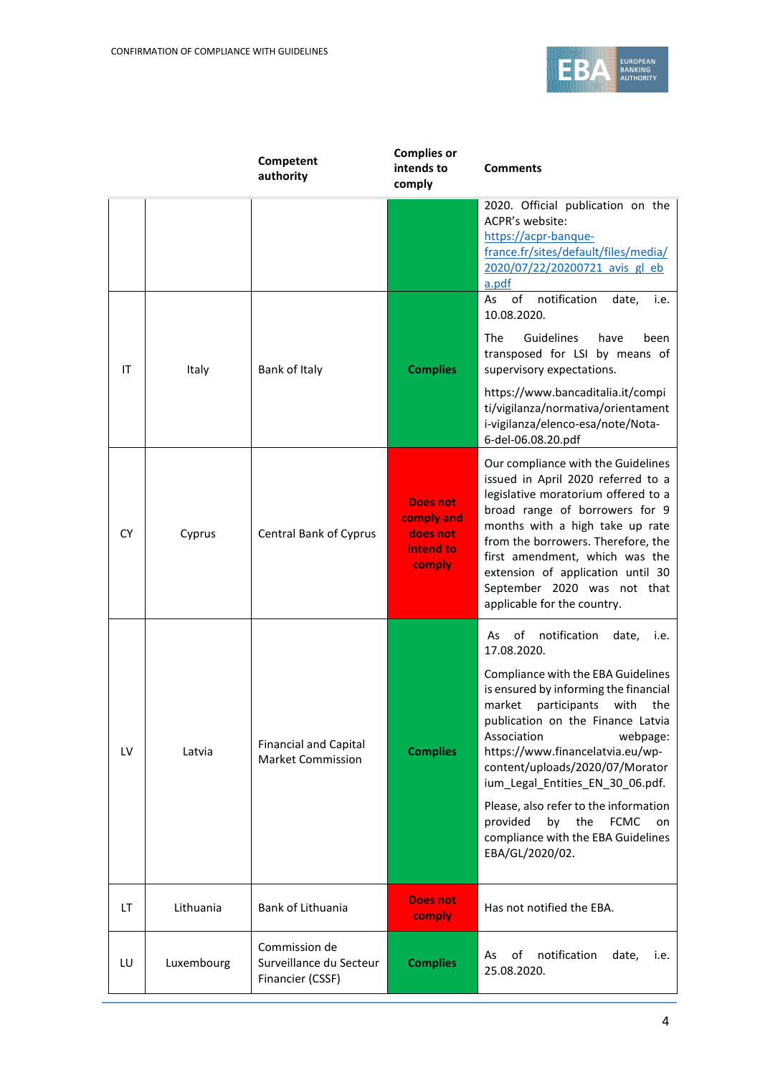

|           |            | Competent<br>authority                                       | <b>Complies or</b><br>intends to<br>comply                       | <b>Comments</b>                                                                                                                                                                                                                                                                                                                                                                                                                                                                                             |  |
|-----------|------------|--------------------------------------------------------------|------------------------------------------------------------------|-------------------------------------------------------------------------------------------------------------------------------------------------------------------------------------------------------------------------------------------------------------------------------------------------------------------------------------------------------------------------------------------------------------------------------------------------------------------------------------------------------------|--|
|           |            |                                                              |                                                                  | 2020. Official publication on the<br>ACPR's website:<br>https://acpr-banque-<br>france.fr/sites/default/files/media/<br>2020/07/22/20200721 avis gl eb<br>a.pdf                                                                                                                                                                                                                                                                                                                                             |  |
| IT        | Italy      | Bank of Italy                                                | <b>Complies</b>                                                  | of<br>notification<br>As<br>date,<br>i.e.<br>10.08.2020.<br><b>The</b><br>Guidelines<br>have<br>been<br>transposed for LSI by means of<br>supervisory expectations.<br>https://www.bancaditalia.it/compi<br>ti/vigilanza/normativa/orientament<br>i-vigilanza/elenco-esa/note/Nota-<br>6-del-06.08.20.pdf                                                                                                                                                                                                   |  |
| <b>CY</b> | Cyprus     | Central Bank of Cyprus                                       | <b>Does not</b><br>comply and<br>does not<br>intend to<br>comply | Our compliance with the Guidelines<br>issued in April 2020 referred to a<br>legislative moratorium offered to a<br>broad range of borrowers for 9<br>months with a high take up rate<br>from the borrowers. Therefore, the<br>first amendment, which was the<br>extension of application until 30<br>September 2020 was not that<br>applicable for the country.                                                                                                                                             |  |
| LV        | Latvia     | <b>Financial and Capital</b><br><b>Market Commission</b>     | <b>Complies</b>                                                  | of<br>notification<br>date,<br>As<br>i.e.<br>17.08.2020.<br>Compliance with the EBA Guidelines<br>is ensured by informing the financial<br>market<br>participants<br>with<br>the<br>publication on the Finance Latvia<br>Association<br>webpage:<br>https://www.financelatvia.eu/wp-<br>content/uploads/2020/07/Morator<br>ium_Legal_Entities_EN_30_06.pdf.<br>Please, also refer to the information<br>provided<br>by<br>the<br><b>FCMC</b><br>on<br>compliance with the EBA Guidelines<br>EBA/GL/2020/02. |  |
| LT        | Lithuania  | Bank of Lithuania                                            | <b>Does not</b><br><b>comply</b>                                 | Has not notified the EBA.                                                                                                                                                                                                                                                                                                                                                                                                                                                                                   |  |
| LU        | Luxembourg | Commission de<br>Surveillance du Secteur<br>Financier (CSSF) | <b>Complies</b>                                                  | notification<br>of<br>date,<br>As<br>i.e.<br>25.08.2020.                                                                                                                                                                                                                                                                                                                                                                                                                                                    |  |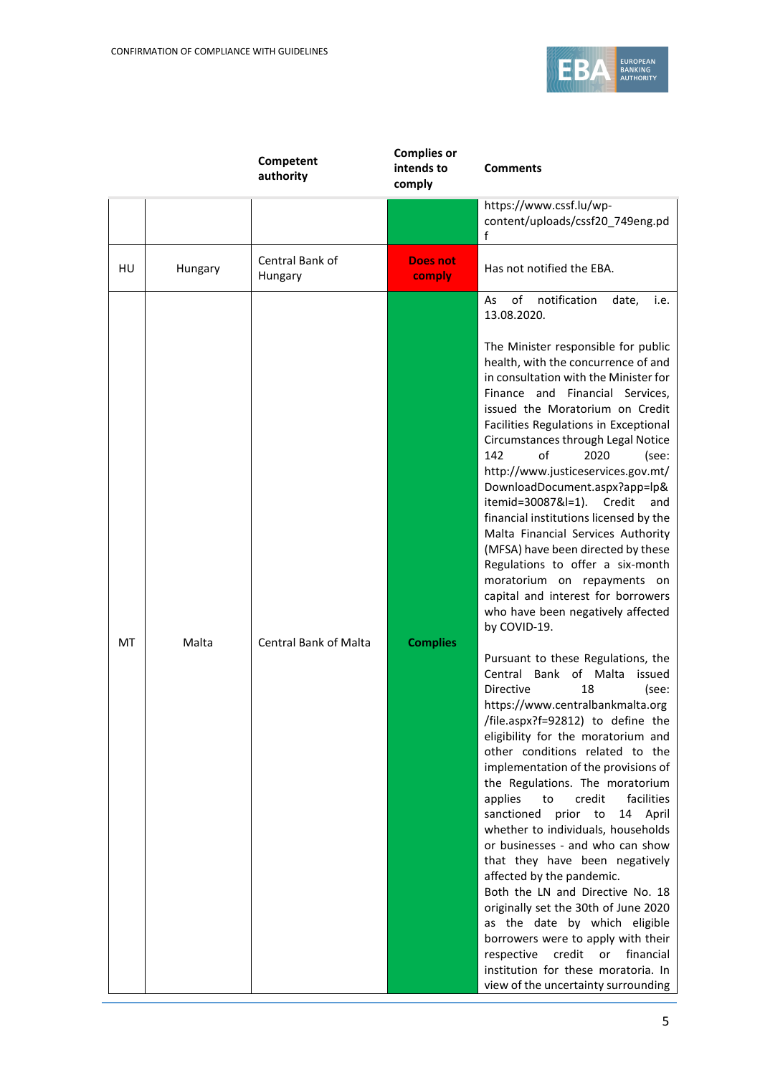

|    |         | Competent<br>authority       | <b>Complies or</b><br>intends to<br>comply | <b>Comments</b>                                                                                                                                                                                                                                                                                                                                                                                                                                                                                                                                                                                                                                                                                                                                                                                                                                                                                                                                                                                                                                                                                                                                                                                                                                                                                                                                                                                                                                                                                                                                                                                            |
|----|---------|------------------------------|--------------------------------------------|------------------------------------------------------------------------------------------------------------------------------------------------------------------------------------------------------------------------------------------------------------------------------------------------------------------------------------------------------------------------------------------------------------------------------------------------------------------------------------------------------------------------------------------------------------------------------------------------------------------------------------------------------------------------------------------------------------------------------------------------------------------------------------------------------------------------------------------------------------------------------------------------------------------------------------------------------------------------------------------------------------------------------------------------------------------------------------------------------------------------------------------------------------------------------------------------------------------------------------------------------------------------------------------------------------------------------------------------------------------------------------------------------------------------------------------------------------------------------------------------------------------------------------------------------------------------------------------------------------|
|    |         |                              |                                            | https://www.cssf.lu/wp-<br>content/uploads/cssf20_749eng.pd<br>f                                                                                                                                                                                                                                                                                                                                                                                                                                                                                                                                                                                                                                                                                                                                                                                                                                                                                                                                                                                                                                                                                                                                                                                                                                                                                                                                                                                                                                                                                                                                           |
| HU | Hungary | Central Bank of<br>Hungary   | <b>Does not</b><br>comply                  | Has not notified the EBA.                                                                                                                                                                                                                                                                                                                                                                                                                                                                                                                                                                                                                                                                                                                                                                                                                                                                                                                                                                                                                                                                                                                                                                                                                                                                                                                                                                                                                                                                                                                                                                                  |
| MT | Malta   | <b>Central Bank of Malta</b> | <b>Complies</b>                            | of<br>notification<br>As<br>date,<br>i.e.<br>13.08.2020.<br>The Minister responsible for public<br>health, with the concurrence of and<br>in consultation with the Minister for<br>Finance and Financial Services,<br>issued the Moratorium on Credit<br>Facilities Regulations in Exceptional<br>Circumstances through Legal Notice<br>of<br>142<br>2020<br>(see:<br>http://www.justiceservices.gov.mt/<br>DownloadDocument.aspx?app=lp&<br>itemid=30087&l=1). Credit<br>and<br>financial institutions licensed by the<br>Malta Financial Services Authority<br>(MFSA) have been directed by these<br>Regulations to offer a six-month<br>moratorium on repayments on<br>capital and interest for borrowers<br>who have been negatively affected<br>by COVID-19.<br>Pursuant to these Regulations, the<br>Central Bank of Malta<br>issued<br><b>Directive</b><br>18<br>(see:<br>https://www.centralbankmalta.org<br>/file.aspx?f=92812) to define the<br>eligibility for the moratorium and<br>other conditions related to the<br>implementation of the provisions of<br>the Regulations. The moratorium<br>applies<br>credit<br>facilities<br>to<br>sanctioned<br>prior to<br>14 April<br>whether to individuals, households<br>or businesses - and who can show<br>that they have been negatively<br>affected by the pandemic.<br>Both the LN and Directive No. 18<br>originally set the 30th of June 2020<br>as the date by which eligible<br>borrowers were to apply with their<br>respective<br>credit<br>or financial<br>institution for these moratoria. In<br>view of the uncertainty surrounding |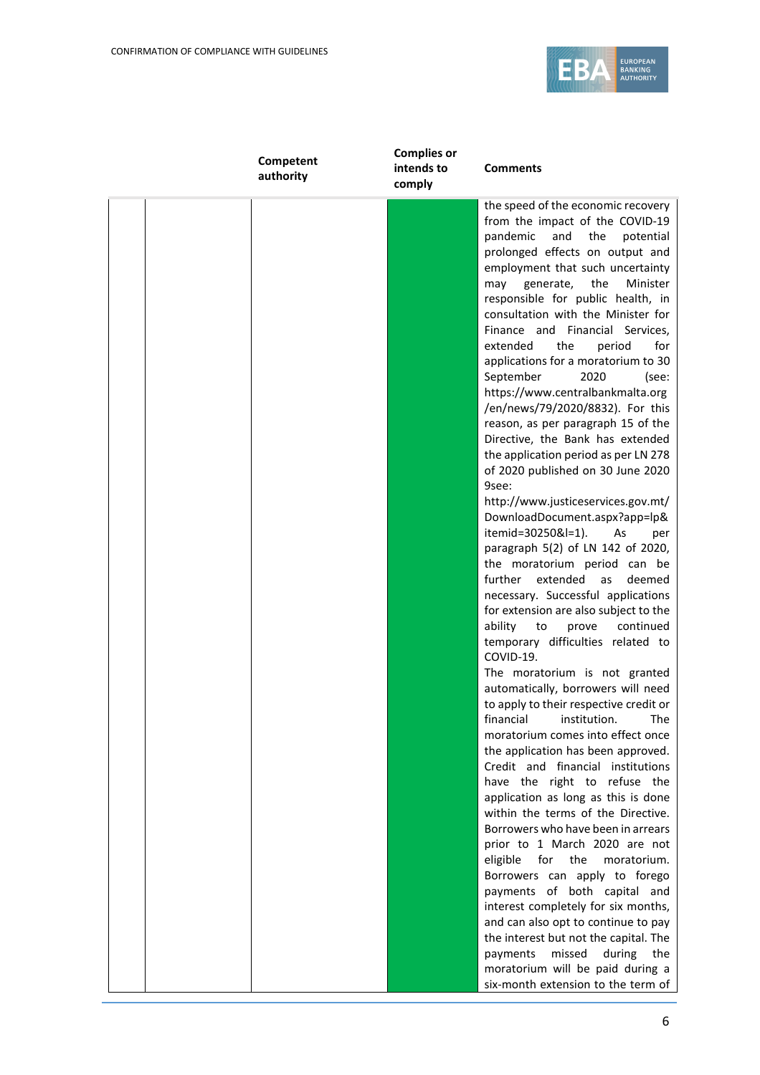

| Competent<br>authority | <b>Complies or</b><br>intends to<br>comply | <b>Comments</b>                                                                                                                                                                                                                                                                                                                                                                                                                                                                                                                                                                                                                                                                                                                                                                                                                                                                                                                                                                                                                                                                                                                                                                                                                                                                                                                                                                                                                                                                                                                                                                                                                                                                                                                                                                                                              |
|------------------------|--------------------------------------------|------------------------------------------------------------------------------------------------------------------------------------------------------------------------------------------------------------------------------------------------------------------------------------------------------------------------------------------------------------------------------------------------------------------------------------------------------------------------------------------------------------------------------------------------------------------------------------------------------------------------------------------------------------------------------------------------------------------------------------------------------------------------------------------------------------------------------------------------------------------------------------------------------------------------------------------------------------------------------------------------------------------------------------------------------------------------------------------------------------------------------------------------------------------------------------------------------------------------------------------------------------------------------------------------------------------------------------------------------------------------------------------------------------------------------------------------------------------------------------------------------------------------------------------------------------------------------------------------------------------------------------------------------------------------------------------------------------------------------------------------------------------------------------------------------------------------------|
|                        |                                            | the speed of the economic recovery<br>from the impact of the COVID-19<br>pandemic<br>and<br>the<br>potential<br>prolonged effects on output and<br>employment that such uncertainty<br>the<br>generate,<br>Minister<br>may<br>responsible for public health, in<br>consultation with the Minister for<br>Finance and Financial Services,<br>the<br>for<br>extended<br>period<br>applications for a moratorium to 30<br>2020<br>September<br>(see:<br>https://www.centralbankmalta.org<br>/en/news/79/2020/8832). For this<br>reason, as per paragraph 15 of the<br>Directive, the Bank has extended<br>the application period as per LN 278<br>of 2020 published on 30 June 2020<br>9see:<br>http://www.justiceservices.gov.mt/<br>DownloadDocument.aspx?app=lp&<br>itemid=30250&l=1).<br>As<br>per<br>paragraph 5(2) of LN 142 of 2020,<br>the moratorium period can be<br>further<br>extended<br>as<br>deemed<br>necessary. Successful applications<br>for extension are also subject to the<br>ability<br>continued<br>to<br>prove<br>temporary difficulties related to<br>COVID-19.<br>The moratorium is not granted<br>automatically, borrowers will need<br>to apply to their respective credit or<br>financial institution.<br><b>The</b><br>moratorium comes into effect once<br>the application has been approved.<br>Credit and financial institutions<br>have the right to refuse the<br>application as long as this is done<br>within the terms of the Directive.<br>Borrowers who have been in arrears<br>prior to 1 March 2020 are not<br>for<br>the<br>eligible<br>moratorium.<br>Borrowers can apply to forego<br>payments of both capital and<br>interest completely for six months,<br>and can also opt to continue to pay<br>the interest but not the capital. The<br>missed<br>during<br>the<br>payments |
|                        |                                            | moratorium will be paid during a<br>six-month extension to the term of                                                                                                                                                                                                                                                                                                                                                                                                                                                                                                                                                                                                                                                                                                                                                                                                                                                                                                                                                                                                                                                                                                                                                                                                                                                                                                                                                                                                                                                                                                                                                                                                                                                                                                                                                       |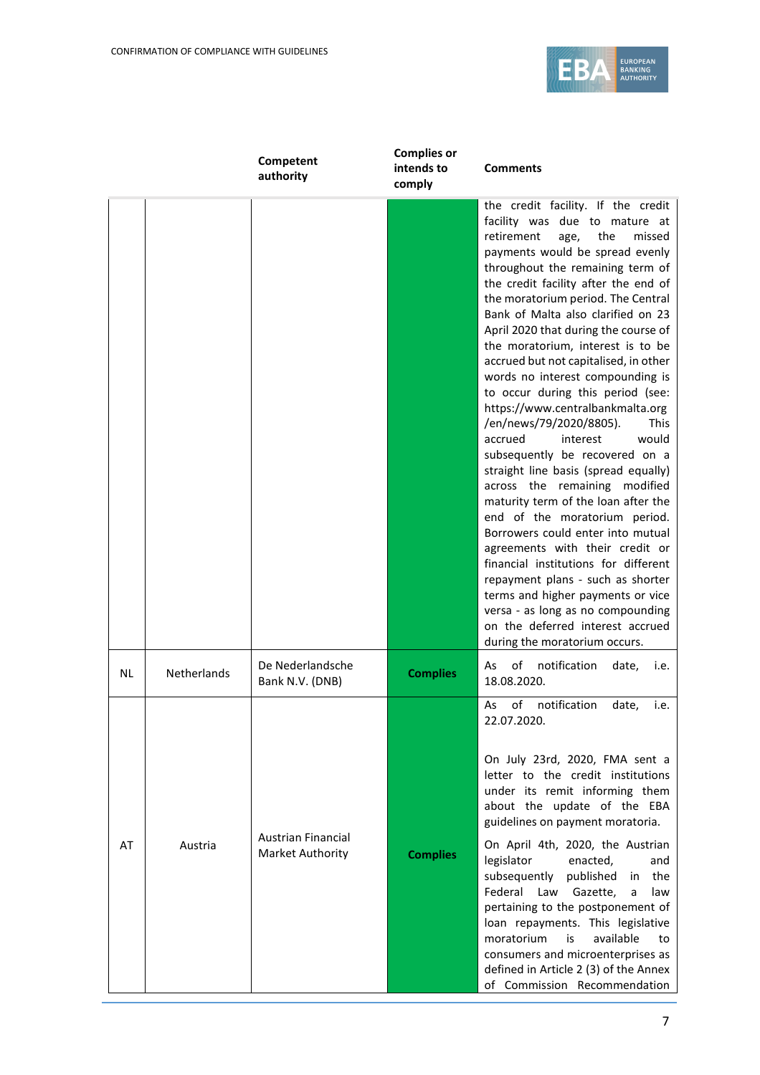

|  |    |                    | Competent<br>authority                        | <b>Complies or</b><br>intends to<br>comply | <b>Comments</b>                                                                                                                                                                                                                                                                                                                                                                                                                                                                                                                                                                                                                                                                                                                                                                                                                                                                                                                                                                                                                                                                                           |  |
|--|----|--------------------|-----------------------------------------------|--------------------------------------------|-----------------------------------------------------------------------------------------------------------------------------------------------------------------------------------------------------------------------------------------------------------------------------------------------------------------------------------------------------------------------------------------------------------------------------------------------------------------------------------------------------------------------------------------------------------------------------------------------------------------------------------------------------------------------------------------------------------------------------------------------------------------------------------------------------------------------------------------------------------------------------------------------------------------------------------------------------------------------------------------------------------------------------------------------------------------------------------------------------------|--|
|  |    |                    |                                               |                                            | the credit facility. If the credit<br>facility was due to mature at<br>retirement<br>the<br>missed<br>age,<br>payments would be spread evenly<br>throughout the remaining term of<br>the credit facility after the end of<br>the moratorium period. The Central<br>Bank of Malta also clarified on 23<br>April 2020 that during the course of<br>the moratorium, interest is to be<br>accrued but not capitalised, in other<br>words no interest compounding is<br>to occur during this period (see:<br>https://www.centralbankmalta.org<br>/en/news/79/2020/8805).<br><b>This</b><br>accrued<br>would<br>interest<br>subsequently be recovered on a<br>straight line basis (spread equally)<br>across the remaining modified<br>maturity term of the loan after the<br>end of the moratorium period.<br>Borrowers could enter into mutual<br>agreements with their credit or<br>financial institutions for different<br>repayment plans - such as shorter<br>terms and higher payments or vice<br>versa - as long as no compounding<br>on the deferred interest accrued<br>during the moratorium occurs. |  |
|  | NL | <b>Netherlands</b> | De Nederlandsche<br>Bank N.V. (DNB)           | <b>Complies</b>                            | of<br>notification<br>As<br>date,<br>i.e.<br>18.08.2020.                                                                                                                                                                                                                                                                                                                                                                                                                                                                                                                                                                                                                                                                                                                                                                                                                                                                                                                                                                                                                                                  |  |
|  | AT | Austria            | <b>Austrian Financial</b><br>Market Authority | <b>Complies</b>                            | of<br>notification<br>As<br>date,<br>i.e.<br>22.07.2020.<br>On July 23rd, 2020, FMA sent a<br>letter to the credit institutions<br>under its remit informing them<br>about the update of the EBA<br>guidelines on payment moratoria.<br>On April 4th, 2020, the Austrian<br>legislator<br>enacted,<br>and<br>subsequently<br>published<br>the<br>in.<br>Federal Law<br>Gazette,<br>law<br>a<br>pertaining to the postponement of<br>loan repayments. This legislative<br>moratorium<br>available<br>is<br>to<br>consumers and microenterprises as<br>defined in Article 2 (3) of the Annex<br>of Commission Recommendation                                                                                                                                                                                                                                                                                                                                                                                                                                                                                |  |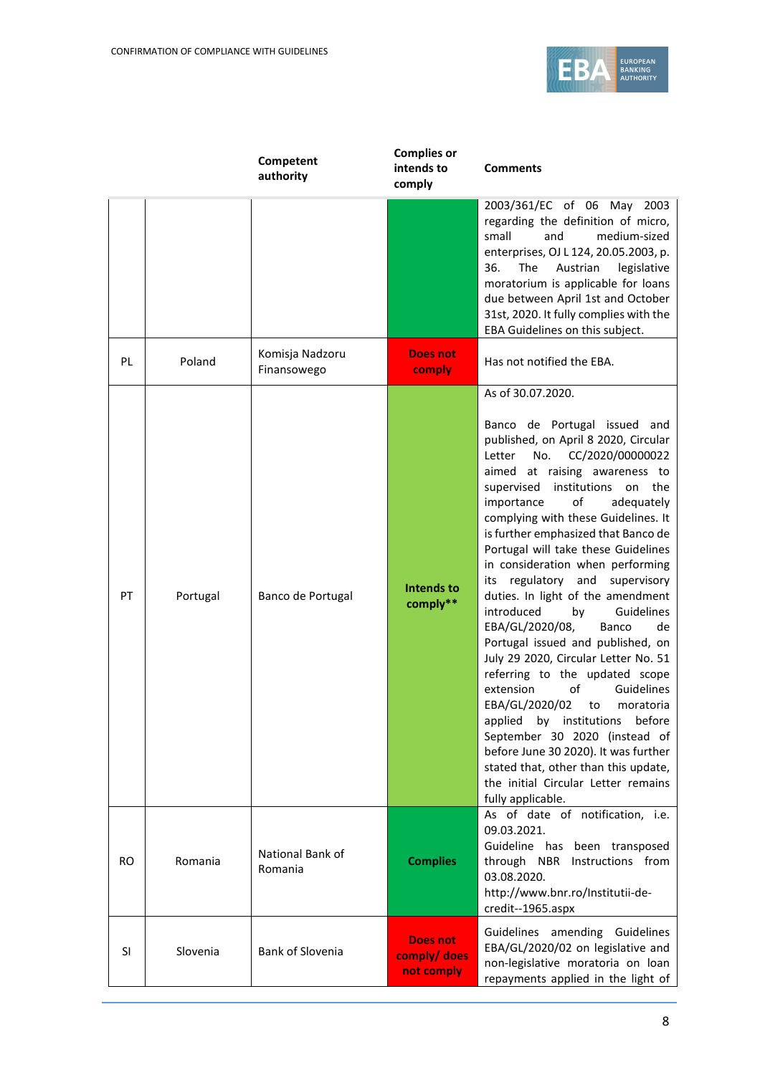

|           |          | Competent<br>authority         | <b>Complies or</b><br>intends to<br>comply    | <b>Comments</b>                                                                                                                                                                                                                                                                                                                                                                                                                                                                                                                                                                                                                                                                                                                                                                                                                                                                                                                                            |
|-----------|----------|--------------------------------|-----------------------------------------------|------------------------------------------------------------------------------------------------------------------------------------------------------------------------------------------------------------------------------------------------------------------------------------------------------------------------------------------------------------------------------------------------------------------------------------------------------------------------------------------------------------------------------------------------------------------------------------------------------------------------------------------------------------------------------------------------------------------------------------------------------------------------------------------------------------------------------------------------------------------------------------------------------------------------------------------------------------|
|           |          |                                |                                               | 2003/361/EC of 06 May 2003<br>regarding the definition of micro,<br>medium-sized<br>small<br>and<br>enterprises, OJ L 124, 20.05.2003, p.<br>The<br>Austrian<br>36.<br>legislative<br>moratorium is applicable for loans<br>due between April 1st and October<br>31st, 2020. It fully complies with the<br>EBA Guidelines on this subject.                                                                                                                                                                                                                                                                                                                                                                                                                                                                                                                                                                                                                 |
| <b>PL</b> | Poland   | Komisja Nadzoru<br>Finansowego | <b>Does not</b><br>comply                     | Has not notified the EBA.                                                                                                                                                                                                                                                                                                                                                                                                                                                                                                                                                                                                                                                                                                                                                                                                                                                                                                                                  |
| PT        | Portugal | Banco de Portugal              | <b>Intends to</b><br>comply**                 | As of 30.07.2020.<br>Banco de Portugal issued and<br>published, on April 8 2020, Circular<br>No.<br>CC/2020/00000022<br>Letter<br>aimed at raising awareness to<br>supervised institutions<br>on<br>the<br>importance<br>of<br>adequately<br>complying with these Guidelines. It<br>is further emphasized that Banco de<br>Portugal will take these Guidelines<br>in consideration when performing<br>regulatory<br>and<br>supervisory<br>its<br>duties. In light of the amendment<br>introduced<br>Guidelines<br>by<br>EBA/GL/2020/08,<br>Banco<br>de<br>Portugal issued and published, on<br>July 29 2020, Circular Letter No. 51<br>referring to the updated scope<br>of<br>extension<br>Guidelines<br>EBA/GL/2020/02<br>to<br>moratoria<br>applied by institutions before<br>September 30 2020 (instead of<br>before June 30 2020). It was further<br>stated that, other than this update,<br>the initial Circular Letter remains<br>fully applicable. |
| RO.       | Romania  | National Bank of<br>Romania    | <b>Complies</b>                               | As of date of notification, i.e.<br>09.03.2021.<br>Guideline has been transposed<br>through NBR Instructions from<br>03.08.2020.<br>http://www.bnr.ro/Institutii-de-<br>credit--1965.aspx                                                                                                                                                                                                                                                                                                                                                                                                                                                                                                                                                                                                                                                                                                                                                                  |
| SI        | Slovenia | <b>Bank of Slovenia</b>        | <b>Does not</b><br>comply/ does<br>not comply | Guidelines amending Guidelines<br>EBA/GL/2020/02 on legislative and<br>non-legislative moratoria on loan<br>repayments applied in the light of                                                                                                                                                                                                                                                                                                                                                                                                                                                                                                                                                                                                                                                                                                                                                                                                             |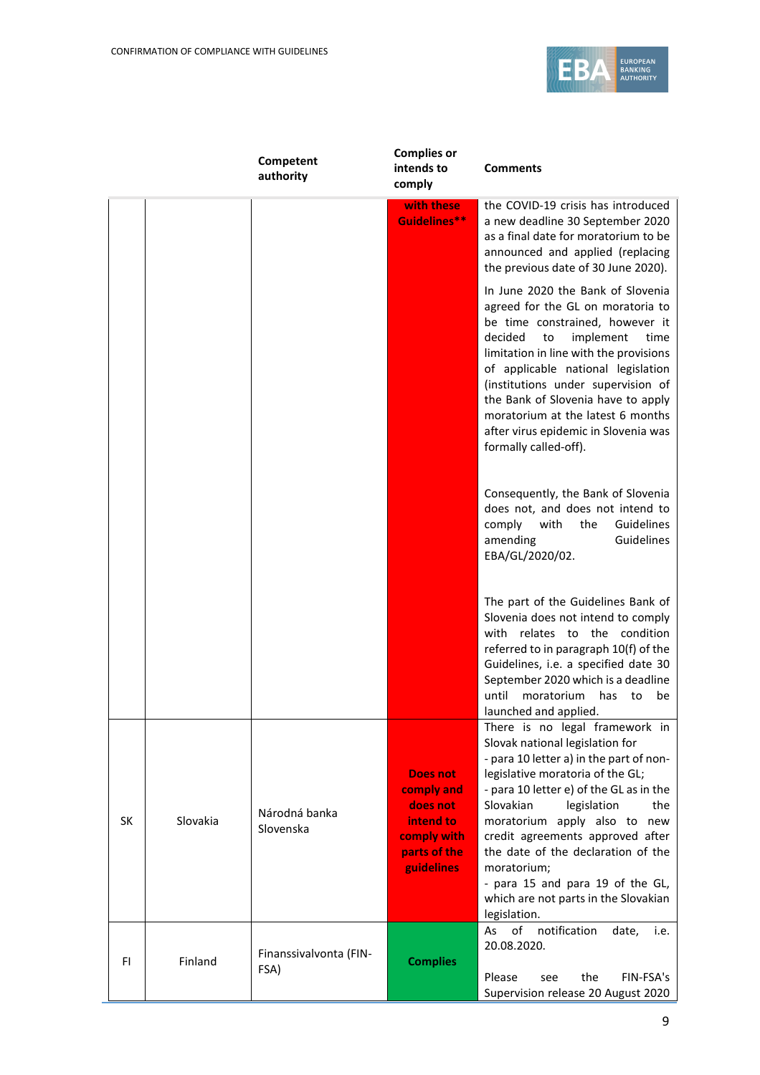

|           |          | Competent<br>authority         | <b>Complies or</b><br>intends to<br>comply                                                          | <b>Comments</b>                                                                                                                                                                                                                                                                                                                                                                                                                                     |
|-----------|----------|--------------------------------|-----------------------------------------------------------------------------------------------------|-----------------------------------------------------------------------------------------------------------------------------------------------------------------------------------------------------------------------------------------------------------------------------------------------------------------------------------------------------------------------------------------------------------------------------------------------------|
|           |          |                                | with these<br>Guidelines**                                                                          | the COVID-19 crisis has introduced<br>a new deadline 30 September 2020<br>as a final date for moratorium to be<br>announced and applied (replacing<br>the previous date of 30 June 2020).                                                                                                                                                                                                                                                           |
|           |          |                                |                                                                                                     | In June 2020 the Bank of Slovenia<br>agreed for the GL on moratoria to<br>be time constrained, however it<br>decided<br>implement<br>time<br>to<br>limitation in line with the provisions<br>of applicable national legislation<br>(institutions under supervision of<br>the Bank of Slovenia have to apply<br>moratorium at the latest 6 months<br>after virus epidemic in Slovenia was<br>formally called-off).                                   |
|           |          |                                |                                                                                                     | Consequently, the Bank of Slovenia<br>does not, and does not intend to<br>comply<br>with<br>the<br>Guidelines<br>Guidelines<br>amending<br>EBA/GL/2020/02.                                                                                                                                                                                                                                                                                          |
|           |          |                                |                                                                                                     | The part of the Guidelines Bank of<br>Slovenia does not intend to comply<br>with relates to the condition<br>referred to in paragraph 10(f) of the<br>Guidelines, i.e. a specified date 30<br>September 2020 which is a deadline<br>until<br>moratorium<br>has<br>be<br>to<br>launched and applied.                                                                                                                                                 |
| <b>SK</b> | Slovakia | Národná banka<br>Slovenska     | <b>Does not</b><br>comply and<br>does not<br>intend to<br>comply with<br>parts of the<br>guidelines | There is no legal framework in<br>Slovak national legislation for<br>- para 10 letter a) in the part of non-<br>legislative moratoria of the GL;<br>- para 10 letter e) of the GL as in the<br>Slovakian<br>legislation<br>the<br>moratorium apply also to new<br>credit agreements approved after<br>the date of the declaration of the<br>moratorium:<br>- para 15 and para 19 of the GL,<br>which are not parts in the Slovakian<br>legislation. |
| FI.       | Finland  | Finanssivalvonta (FIN-<br>FSA) | <b>Complies</b>                                                                                     | of<br>notification<br>i.e.<br>As<br>date,<br>20.08.2020.<br>the<br>Please<br>FIN-FSA's<br>see<br>Supervision release 20 August 2020                                                                                                                                                                                                                                                                                                                 |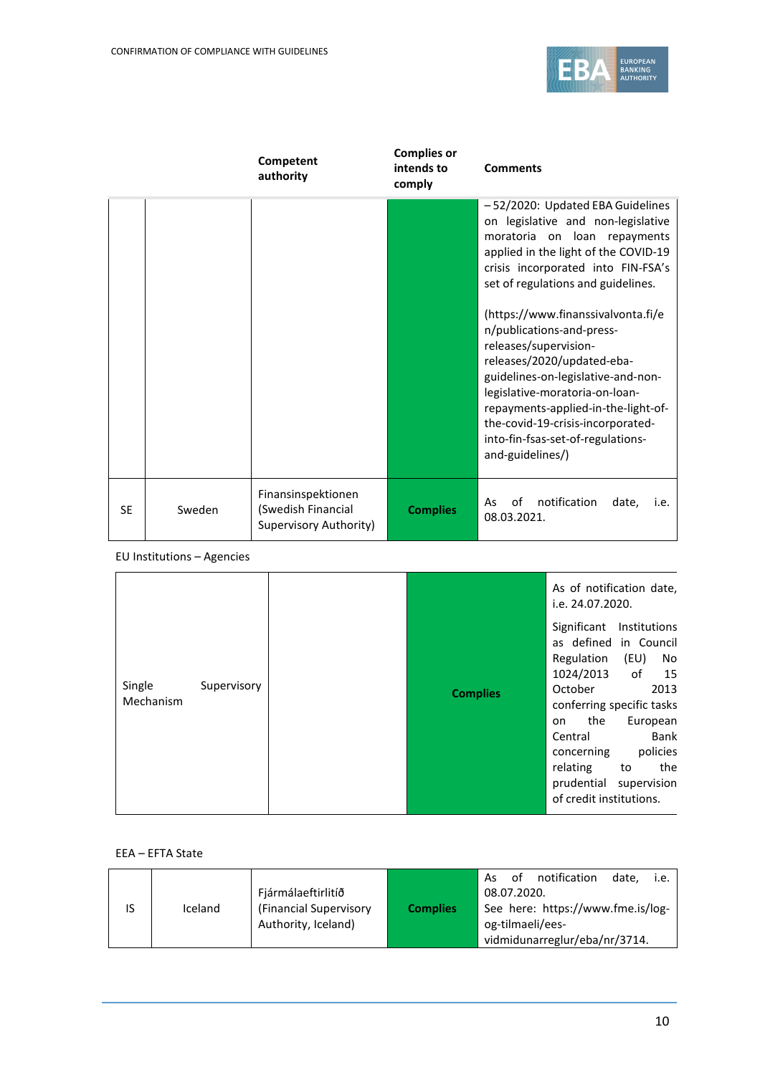

|           |        | Competent<br>authority                                             | <b>Complies or</b><br>intends to<br>comply | <b>Comments</b>                                                                                                                                                                                                                                                                                                                                                                                                                                                                                                                                                   |
|-----------|--------|--------------------------------------------------------------------|--------------------------------------------|-------------------------------------------------------------------------------------------------------------------------------------------------------------------------------------------------------------------------------------------------------------------------------------------------------------------------------------------------------------------------------------------------------------------------------------------------------------------------------------------------------------------------------------------------------------------|
|           |        |                                                                    |                                            | -52/2020: Updated EBA Guidelines<br>on legislative and non-legislative<br>moratoria on loan repayments<br>applied in the light of the COVID-19<br>crisis incorporated into FIN-FSA's<br>set of regulations and guidelines.<br>(https://www.finanssivalvonta.fi/e<br>n/publications-and-press-<br>releases/supervision-<br>releases/2020/updated-eba-<br>guidelines-on-legislative-and-non-<br>legislative-moratoria-on-loan-<br>repayments-applied-in-the-light-of-<br>the-covid-19-crisis-incorporated-<br>into-fin-fsas-set-of-regulations-<br>and-guidelines/) |
| <b>SE</b> | Sweden | Finansinspektionen<br>(Swedish Financial<br>Supervisory Authority) | <b>Complies</b>                            | notification<br>οf<br>As<br>date,<br>i.e.<br>08.03.2021.                                                                                                                                                                                                                                                                                                                                                                                                                                                                                                          |

EU Institutions – Agencies

|                     |             |                 | i.e. 24.07.2020.                                                                                                                                | As of notification date,                                                                                                                                  |
|---------------------|-------------|-----------------|-------------------------------------------------------------------------------------------------------------------------------------------------|-----------------------------------------------------------------------------------------------------------------------------------------------------------|
| Single<br>Mechanism | Supervisory | <b>Complies</b> | Significant<br>Regulation<br>1024/2013<br>October<br>the<br>on<br>Central<br>concerning<br>relating to<br>prudential<br>of credit institutions. | Institutions<br>as defined in Council<br>(EU)<br>No<br>of $15$<br>2013<br>conferring specific tasks<br>European<br>Bank<br>policies<br>the<br>supervision |

EEA – EFTA State

|         |                         |                 | As<br>of                          | notification                  | date. | i.e. |
|---------|-------------------------|-----------------|-----------------------------------|-------------------------------|-------|------|
|         | Fjármálaeftirlitíð      |                 | 08.07.2020.                       |                               |       |      |
| Iceland | (Financial Supervisory) | <b>Complies</b> | See here: https://www.fme.is/log- |                               |       |      |
|         | Authority, Iceland)     |                 | og-tilmaeli/ees-                  |                               |       |      |
|         |                         |                 |                                   | vidmidunarreglur/eba/nr/3714. |       |      |